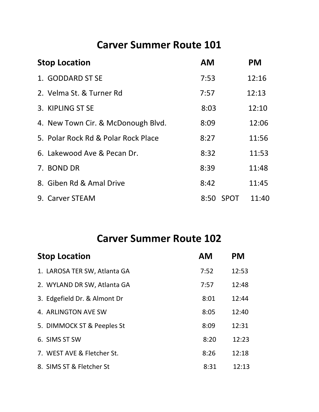## **Carver Summer Route 101**

| <b>Stop Location</b> |                                     | <b>AM</b> |             | <b>PM</b> |
|----------------------|-------------------------------------|-----------|-------------|-----------|
|                      | 1. GODDARD ST SE                    | 7:53      |             | 12:16     |
|                      | 2. Velma St. & Turner Rd            | 7:57      |             | 12:13     |
|                      | 3. KIPLING ST SE                    | 8:03      |             | 12:10     |
|                      | 4. New Town Cir. & McDonough Blvd.  | 8:09      |             | 12:06     |
|                      | 5. Polar Rock Rd & Polar Rock Place | 8:27      |             | 11:56     |
|                      | 6. Lakewood Ave & Pecan Dr.         | 8:32      |             | 11:53     |
|                      | 7. BOND DR                          | 8:39      |             | 11:48     |
|                      | 8. Giben Rd & Amal Drive            | 8:42      |             | 11:45     |
|                      | 9. Carver STEAM                     | 8:50      | <b>SPOT</b> | 11:40     |

## **Carver Summer Route 102**

| <b>Stop Location</b>         | <b>AM</b> | <b>PM</b> |
|------------------------------|-----------|-----------|
| 1. LAROSA TER SW, Atlanta GA | 7:52      | 12:53     |
| 2. WYLAND DR SW, Atlanta GA  | 7:57      | 12:48     |
| 3. Edgefield Dr. & Almont Dr | 8:01      | 12:44     |
| 4. ARLINGTON AVE SW          | 8:05      | 12:40     |
| 5. DIMMOCK ST & Peeples St   | 8:09      | 12:31     |
| 6. SIMS ST SW                | 8:20      | 12:23     |
| 7. WEST AVE & Fletcher St.   | 8:26      | 12:18     |
| 8. SIMS ST & Fletcher St     | 8:31      | 12:13     |